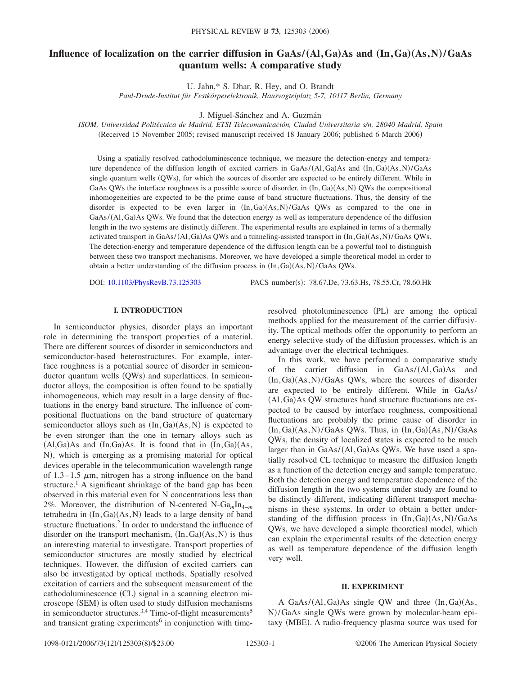# **Influence of localization on the carrier diffusion in GaAs/** $(AI, Ga)As$  **and**  $(In,Ga)(As, N)/GaAs$ **quantum wells: A comparative study**

U. Jahn,\* S. Dhar, R. Hey, and O. Brandt

*Paul-Drude-Institut für Festkörperelektronik, Hausvogteiplatz 5-7, 10117 Berlin, Germany*

J. Miguel-Sánchez and A. Guzmán

*ISOM, Universidad Politécnica de Madrid, ETSI Telecomunicación, Ciudad Universitaria s/n, 28040 Madrid, Spain* (Received 15 November 2005; revised manuscript received 18 January 2006; published 6 March 2006)

Using a spatially resolved cathodoluminescence technique, we measure the detection-energy and temperature dependence of the diffusion length of excited carriers in  $GaAs/(Al, Ga)As$  and  $(In, Ga)(As, N)/GaAs$ single quantum wells (QWs), for which the sources of disorder are expected to be entirely different. While in GaAs QWs the interface roughness is a possible source of disorder, in  $(In, Ga)(As, N)$  QWs the compositional inhomogeneities are expected to be the prime cause of band structure fluctuations. Thus, the density of the disorder is expected to be even larger in  $(In, Ga)(As, N)/GaAs$  QWs as compared to the one in GaAs/(Al, Ga)As QWs. We found that the detection energy as well as temperature dependence of the diffusion length in the two systems are distinctly different. The experimental results are explained in terms of a thermally activated transport in GaAs/(Al,Ga)As QWs and a tunneling-assisted transport in  $(In, Ga)(As, N)/GaAs$  QWs. The detection-energy and temperature dependence of the diffusion length can be a powerful tool to distinguish between these two transport mechanisms. Moreover, we have developed a simple theoretical model in order to obtain a better understanding of the diffusion process in  $(In, Ga)(As, N)/GaAs$  QWs.

DOI: [10.1103/PhysRevB.73.125303](http://dx.doi.org/10.1103/PhysRevB.73.125303)

PACS number(s): 78.67.De, 73.63.Hs, 78.55.Cr, 78.60.Hk

## **I. INTRODUCTION**

In semiconductor physics, disorder plays an important role in determining the transport properties of a material. There are different sources of disorder in semiconductors and semiconductor-based heterostructures. For example, interface roughness is a potential source of disorder in semiconductor quantum wells (QWs) and superlattices. In semiconductor alloys, the composition is often found to be spatially inhomogeneous, which may result in a large density of fluctuations in the energy band structure. The influence of compositional fluctuations on the band structure of quaternary semiconductor alloys such as  $(In,Ga)(As, N)$  is expected to be even stronger than the one in ternary alloys such as  $(Al,Ga)As$  and  $(In,Ga)As.$  It is found that in  $(In,Ga)(As,$ N), which is emerging as a promising material for optical devices operable in the telecommunication wavelength range of 1.3–1.5  $\mu$ m, nitrogen has a strong influence on the band structure.<sup>1</sup> A significant shrinkage of the band gap has been observed in this material even for N concentrations less than 2%. Moreover, the distribution of N-centered N-Ga<sub>*m*</sub>In<sub>4−*m*</sub> tetrahedra in  $(In,Ga)(As,N)$  leads to a large density of band structure fluctuations.2 In order to understand the influence of disorder on the transport mechanism,  $(In, Ga)(As, N)$  is thus an interesting material to investigate. Transport properties of semiconductor structures are mostly studied by electrical techniques. However, the diffusion of excited carriers can also be investigated by optical methods. Spatially resolved excitation of carriers and the subsequent measurement of the cathodoluminescence (CL) signal in a scanning electron microscope (SEM) is often used to study diffusion mechanisms in semiconductor structures.<sup>3,4</sup> Time-of-flight measurements<sup>5</sup> and transient grating experiments<sup> $6$ </sup> in conjunction with time-

resolved photoluminescence (PL) are among the optical methods applied for the measurement of the carrier diffusivity. The optical methods offer the opportunity to perform an energy selective study of the diffusion processes, which is an advantage over the electrical techniques.

In this work, we have performed a comparative study of the carrier diffusion in GaAs/(Al,Ga)As and (In, Ga)(As, N)/GaAs QWs, where the sources of disorder are expected to be entirely different. While in GaAs/ (Al, Ga) As QW structures band structure fluctuations are expected to be caused by interface roughness, compositional fluctuations are probably the prime cause of disorder in (In, Ga)(As, N)/GaAs QWs. Thus, in  $(In,Ga)(As, N)/GaAs$ QWs, the density of localized states is expected to be much larger than in GaAs/(Al, Ga)As QWs. We have used a spatially resolved CL technique to measure the diffusion length as a function of the detection energy and sample temperature. Both the detection energy and temperature dependence of the diffusion length in the two systems under study are found to be distinctly different, indicating different transport mechanisms in these systems. In order to obtain a better understanding of the diffusion process in  $(In, Ga)(As, N)/GaAs$ QWs, we have developed a simple theoretical model, which can explain the experimental results of the detection energy as well as temperature dependence of the diffusion length very well.

### **II. EXPERIMENT**

A GaAs/ $(Al, Ga)$ As single QW and three  $(In, Ga)$  $(As,$ N)/GaAs single QWs were grown by molecular-beam epitaxy (MBE). A radio-frequency plasma source was used for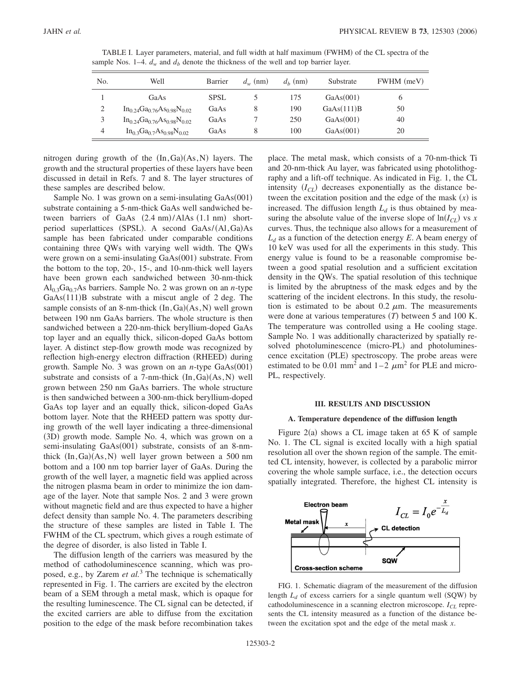| No. | Well                                                                      | Barrier     | $d_w$ (nm) | $d_h$ (nm) | Substrate  | FWHM (meV) |
|-----|---------------------------------------------------------------------------|-------------|------------|------------|------------|------------|
|     | GaAs                                                                      | <b>SPSL</b> |            | 175        | GaAs(001)  | $\theta$   |
| 2   | $In_{0.24}Ga_{0.76}As_{0.98}N_{0.02}$                                     | GaAs        | 8          | 190        | GaAs(111)B | 50         |
| 3   | $In_{0.24}Ga_{0.76}As_{0.98}N_{0.02}$                                     | GaAs        |            | 250        | GaAs(001)  | 40         |
| 4   | $In_0$ <sub>3</sub> Ga <sub>0</sub> 7As <sub>0.98</sub> N <sub>0.02</sub> | GaAs        | 8          | 100        | GaAs(001)  | 20         |

TABLE I. Layer parameters, material, and full width at half maximum (FWHM) of the CL spectra of the sample Nos. 1–4.  $d_w$  and  $d_b$  denote the thickness of the well and top barrier layer.

nitrogen during growth of the  $(In,Ga)(As,N)$  layers. The growth and the structural properties of these layers have been discussed in detail in Refs. 7 and 8. The layer structures of these samples are described below.

Sample No. 1 was grown on a semi-insulating  $GaAs(001)$ substrate containing a 5-nm-thick GaAs well sandwiched between barriers of GaAs (2.4 nm)/AlAs (1.1 nm) shortperiod superlattices (SPSL). A second GaAs/(Al, Ga)As sample has been fabricated under comparable conditions containing three QWs with varying well width. The QWs were grown on a semi-insulating GaAs(001) substrate. From the bottom to the top, 20-, 15-, and 10-nm-thick well layers have been grown each sandwiched between 30-nm-thick  $Al<sub>0.3</sub>Ga<sub>0.7</sub>As barriers. Sample No. 2 was grown on an *n*-type$ GaAs(111)B substrate with a miscut angle of 2 deg. The sample consists of an 8-nm-thick (In, Ga)(As, N) well grown between 190 nm GaAs barriers. The whole structure is then sandwiched between a 220-nm-thick beryllium-doped GaAs top layer and an equally thick, silicon-doped GaAs bottom layer. A distinct step-flow growth mode was recognized by reflection high-energy electron diffraction (RHEED) during growth. Sample No. 3 was grown on an  $n$ -type  $GaAs(001)$ substrate and consists of a 7-nm-thick  $(In,Ga)(As,N)$  well grown between 250 nm GaAs barriers. The whole structure is then sandwiched between a 300-nm-thick beryllium-doped GaAs top layer and an equally thick, silicon-doped GaAs bottom layer. Note that the RHEED pattern was spotty during growth of the well layer indicating a three-dimensional (3D) growth mode. Sample No. 4, which was grown on a semi-insulating GaAs(001) substrate, consists of an 8-nmthick (In, Ga)(As, N) well layer grown between a 500 nm bottom and a 100 nm top barrier layer of GaAs. During the growth of the well layer, a magnetic field was applied across the nitrogen plasma beam in order to minimize the ion damage of the layer. Note that sample Nos. 2 and 3 were grown without magnetic field and are thus expected to have a higher defect density than sample No. 4. The parameters describing the structure of these samples are listed in Table I. The FWHM of the CL spectrum, which gives a rough estimate of the degree of disorder, is also listed in Table I.

The diffusion length of the carriers was measured by the method of cathodoluminescence scanning, which was proposed, e.g., by Zarem *et al.*<sup>3</sup> The technique is schematically represented in Fig. 1. The carriers are excited by the electron beam of a SEM through a metal mask, which is opaque for the resulting luminescence. The CL signal can be detected, if the excited carriers are able to diffuse from the excitation position to the edge of the mask before recombination takes place. The metal mask, which consists of a 70-nm-thick Ti and 20-nm-thick Au layer, was fabricated using photolithography and a lift-off technique. As indicated in Fig. 1, the CL intensity  $(I_{CL})$  decreases exponentially as the distance between the excitation position and the edge of the mask  $(x)$  is increased. The diffusion length  $L_d$  is thus obtained by measuring the absolute value of the inverse slope of  $\ln(I_{CL})$  vs *x* curves. Thus, the technique also allows for a measurement of *Ld* as a function of the detection energy *E*. A beam energy of 10 keV was used for all the experiments in this study. This energy value is found to be a reasonable compromise between a good spatial resolution and a sufficient excitation density in the QWs. The spatial resolution of this technique is limited by the abruptness of the mask edges and by the scattering of the incident electrons. In this study, the resolution is estimated to be about 0.2  $\mu$ m. The measurements were done at various temperatures  $(T)$  between 5 and 100 K. The temperature was controlled using a He cooling stage. Sample No. 1 was additionally characterized by spatially resolved photoluminescence (micro-PL) and photoluminescence excitation (PLE) spectroscopy. The probe areas were estimated to be 0.01 mm<sup>2</sup> and  $1-2 \mu m^2$  for PLE and micro-PL, respectively.

#### **III. RESULTS AND DISCUSSION**

#### **A. Temperature dependence of the diffusion length**

Figure  $2(a)$  shows a CL image taken at 65 K of sample No. 1. The CL signal is excited locally with a high spatial resolution all over the shown region of the sample. The emitted CL intensity, however, is collected by a parabolic mirror covering the whole sample surface, i.e., the detection occurs spatially integrated. Therefore, the highest CL intensity is



FIG. 1. Schematic diagram of the measurement of the diffusion length  $L_d$  of excess carriers for a single quantum well (SQW) by cathodoluminescence in a scanning electron microscope.  $I_{CL}$  represents the CL intensity measured as a function of the distance between the excitation spot and the edge of the metal mask *x*.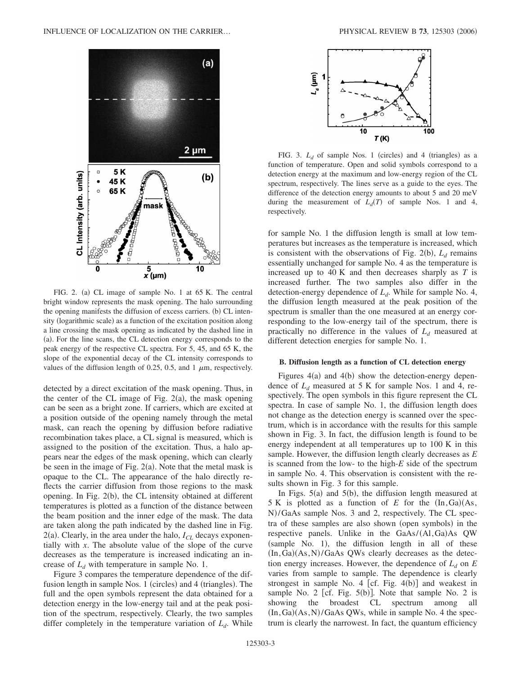

FIG. 2. (a) CL image of sample No. 1 at 65 K. The central bright window represents the mask opening. The halo surrounding the opening manifests the diffusion of excess carriers. (b) CL intensity (logarithmic scale) as a function of the excitation position along a line crossing the mask opening as indicated by the dashed line in (a). For the line scans, the CL detection energy corresponds to the peak energy of the respective CL spectra. For 5, 45, and 65 K, the slope of the exponential decay of the CL intensity corresponds to values of the diffusion length of 0.25, 0.5, and 1  $\mu$ m, respectively.

detected by a direct excitation of the mask opening. Thus, in the center of the CL image of Fig.  $2(a)$ , the mask opening can be seen as a bright zone. If carriers, which are excited at a position outside of the opening namely through the metal mask, can reach the opening by diffusion before radiative recombination takes place, a CL signal is measured, which is assigned to the position of the excitation. Thus, a halo appears near the edges of the mask opening, which can clearly be seen in the image of Fig.  $2(a)$ . Note that the metal mask is opaque to the CL. The appearance of the halo directly reflects the carrier diffusion from those regions to the mask opening. In Fig. 2(b), the CL intensity obtained at different temperatures is plotted as a function of the distance between the beam position and the inner edge of the mask. The data are taken along the path indicated by the dashed line in Fig.  $2(a)$ . Clearly, in the area under the halo,  $I_{CL}$  decays exponentially with *x*. The absolute value of the slope of the curve decreases as the temperature is increased indicating an increase of  $L_d$  with temperature in sample No. 1.

Figure 3 compares the temperature dependence of the diffusion length in sample Nos. 1 (circles) and 4 (triangles). The full and the open symbols represent the data obtained for a detection energy in the low-energy tail and at the peak position of the spectrum, respectively. Clearly, the two samples differ completely in the temperature variation of  $L_d$ . While



FIG. 3.  $L_d$  of sample Nos. 1 (circles) and 4 (triangles) as a function of temperature. Open and solid symbols correspond to a detection energy at the maximum and low-energy region of the CL spectrum, respectively. The lines serve as a guide to the eyes. The difference of the detection energy amounts to about 5 and 20 meV during the measurement of  $L_d(T)$  of sample Nos. 1 and 4, respectively.

for sample No. 1 the diffusion length is small at low temperatures but increases as the temperature is increased, which is consistent with the observations of Fig. 2(b),  $L_d$  remains essentially unchanged for sample No. 4 as the temperature is increased up to 40 K and then decreases sharply as *T* is increased further. The two samples also differ in the detection-energy dependence of *Ld*. While for sample No. 4, the diffusion length measured at the peak position of the spectrum is smaller than the one measured at an energy corresponding to the low-energy tail of the spectrum, there is practically no difference in the values of  $L_d$  measured at different detection energies for sample No. 1.

#### **B. Diffusion length as a function of CL detection energy**

Figures  $4(a)$  and  $4(b)$  show the detection-energy dependence of  $L_d$  measured at 5 K for sample Nos. 1 and 4, respectively. The open symbols in this figure represent the CL spectra. In case of sample No. 1, the diffusion length does not change as the detection energy is scanned over the spectrum, which is in accordance with the results for this sample shown in Fig. 3. In fact, the diffusion length is found to be energy independent at all temperatures up to 100 K in this sample. However, the diffusion length clearly decreases as *E* is scanned from the low- to the high-*E* side of the spectrum in sample No. 4. This observation is consistent with the results shown in Fig. 3 for this sample.

In Figs.  $5(a)$  and  $5(b)$ , the diffusion length measured at  $5 K$  is plotted as a function of  $E$  for the  $(\text{In},\text{Ga})(\text{As},\text{A})$ N)/GaAs sample Nos. 3 and 2, respectively. The CL spectra of these samples are also shown (open symbols) in the respective panels. Unlike in the GaAs/(Al, Ga)As QW (sample No. 1), the diffusion length in all of these (In, Ga)(As, N)/GaAs QWs clearly decreases as the detection energy increases. However, the dependence of  $L_d$  on  $E$ varies from sample to sample. The dependence is clearly strongest in sample No. 4 [cf. Fig.  $4(b)$ ] and weakest in sample No. 2 [cf. Fig.  $5(b)$ ]. Note that sample No. 2 is showing the broadest CL spectrum among all  $(In, Ga)(As, N)/GaAs$  QWs, while in sample No. 4 the spectrum is clearly the narrowest. In fact, the quantum efficiency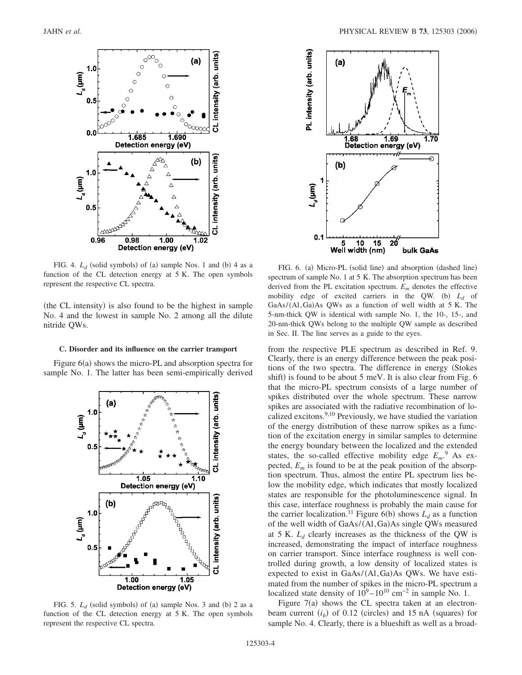

FIG. 4.  $L_d$  (solid symbols) of (a) sample Nos. 1 and (b) 4 as a function of the CL detection energy at 5 K. The open symbols represent the respective CL spectra.

(the CL intensity) is also found to be the highest in sample No. 4 and the lowest in sample No. 2 among all the dilute nitride QWs.

#### **C. Disorder and its influence on the carrier transport**

Figure 6(a) shows the micro-PL and absorption spectra for sample No. 1. The latter has been semi-empirically derived



FIG. 5.  $L_d$  (solid symbols) of (a) sample Nos. 3 and (b) 2 as a function of the CL detection energy at 5 K. The open symbols represent the respective CL spectra.



FIG. 6. (a) Micro-PL (solid line) and absorption (dashed line) spectrum of sample No. 1 at 5 K. The absorption spectrum has been derived from the PL excitation spectrum. *Em* denotes the effective mobility edge of excited carriers in the QW. (b)  $L_d$  of GaAs/(Al, Ga)As QWs as a function of well width at 5 K. The 5-nm-thick QW is identical with sample No. 1, the 10-, 15-, and 20-nm-thick QWs belong to the multiple QW sample as described in Sec. II. The line serves as a guide to the eyes.

from the respective PLE spectrum as described in Ref. 9. Clearly, there is an energy difference between the peak positions of the two spectra. The difference in energy (Stokes shift) is found to be about 5 meV. It is also clear from Fig. 6 that the micro-PL spectrum consists of a large number of spikes distributed over the whole spectrum. These narrow spikes are associated with the radiative recombination of localized excitons. $9,10$  Previously, we have studied the variation of the energy distribution of these narrow spikes as a function of the excitation energy in similar samples to determine the energy boundary between the localized and the extended states, the so-called effective mobility edge  $E_m$ <sup>9</sup> As expected,  $E_m$  is found to be at the peak position of the absorption spectrum. Thus, almost the entire PL spectrum lies below the mobility edge, which indicates that mostly localized states are responsible for the photoluminescence signal. In this case, interface roughness is probably the main cause for the carrier localization.<sup>11</sup> Figure 6(b) shows  $L_d$  as a function of the well width of GaAs/(Al,Ga)As single QWs measured at 5 K.  $L_d$  clearly increases as the thickness of the QW is increased, demonstrating the impact of interface roughness on carrier transport. Since interface roughness is well controlled during growth, a low density of localized states is expected to exist in GaAs/(Al, Ga)As QWs. We have estimated from the number of spikes in the micro-PL spectrum a localized state density of  $10^9 - 10^{10}$  cm<sup>-2</sup> in sample No. 1.

Figure  $7(a)$  shows the CL spectra taken at an electronbeam current  $(i_b)$  of 0.12 (circles) and 15 nA (squares) for sample No. 4. Clearly, there is a blueshift as well as a broad-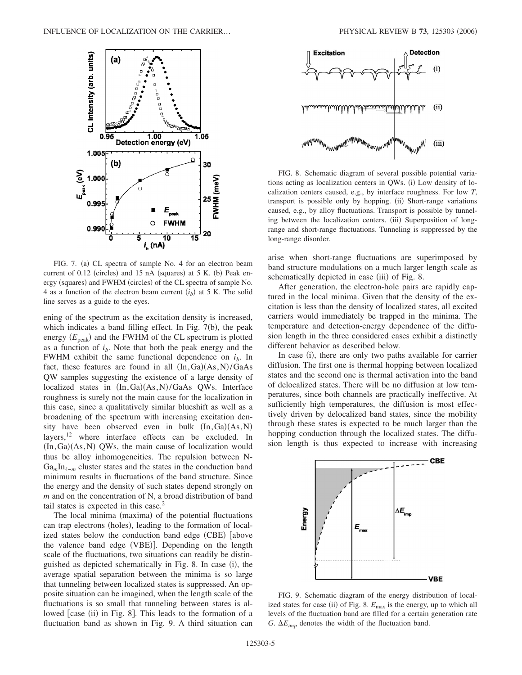

FIG. 7. (a) CL spectra of sample No. 4 for an electron beam current of 0.12 (circles) and 15 nA (squares) at 5 K. (b) Peak energy (squares) and FWHM (circles) of the CL spectra of sample No. 4 as a function of the electron beam current  $(i_b)$  at 5 K. The solid line serves as a guide to the eyes.

ening of the spectrum as the excitation density is increased, which indicates a band filling effect. In Fig. 7(b), the peak energy  $(E_{\text{peak}})$  and the FWHM of the CL spectrum is plotted as a function of  $i<sub>b</sub>$ . Note that both the peak energy and the FWHM exhibit the same functional dependence on  $i<sub>b</sub>$ . In fact, these features are found in all  $(In, Ga)(As, N)/GaAs$ QW samples suggesting the existence of a large density of localized states in  $(In,Ga)(As, N)/GaAs$  QWs. Interface roughness is surely not the main cause for the localization in this case, since a qualitatively similar blueshift as well as a broadening of the spectrum with increasing excitation density have been observed even in bulk  $(In,Ga)(As,N)$ layers, $12$  where interface effects can be excluded. In (In, Ga)(As, N) QWs, the main cause of localization would thus be alloy inhomogeneities. The repulsion between N-Ga*m*In4−*<sup>m</sup>* cluster states and the states in the conduction band minimum results in fluctuations of the band structure. Since the energy and the density of such states depend strongly on *m* and on the concentration of N, a broad distribution of band tail states is expected in this case.<sup>2</sup>

The local minima (maxima) of the potential fluctuations can trap electrons (holes), leading to the formation of localized states below the conduction band edge (CBE) [above the valence band edge (VBE)]. Depending on the length scale of the fluctuations, two situations can readily be distinguished as depicted schematically in Fig. 8. In case (i), the average spatial separation between the minima is so large that tunneling between localized states is suppressed. An opposite situation can be imagined, when the length scale of the fluctuations is so small that tunneling between states is allowed [case (ii) in Fig. 8]. This leads to the formation of a fluctuation band as shown in Fig. 9. A third situation can



FIG. 8. Schematic diagram of several possible potential variations acting as localization centers in QWs. (i) Low density of localization centers caused, e.g., by interface roughness. For low *T*, transport is possible only by hopping. (ii) Short-range variations caused, e.g., by alloy fluctuations. Transport is possible by tunneling between the localization centers. (iii) Superposition of longrange and short-range fluctuations. Tunneling is suppressed by the long-range disorder.

arise when short-range fluctuations are superimposed by band structure modulations on a much larger length scale as schematically depicted in case (iii) of Fig. 8.

After generation, the electron-hole pairs are rapidly captured in the local minima. Given that the density of the excitation is less than the density of localized states, all excited carriers would immediately be trapped in the minima. The temperature and detection-energy dependence of the diffusion length in the three considered cases exhibit a distinctly different behavior as described below.

In case (i), there are only two paths available for carrier diffusion. The first one is thermal hopping between localized states and the second one is thermal activation into the band of delocalized states. There will be no diffusion at low temperatures, since both channels are practically ineffective. At sufficiently high temperatures, the diffusion is most effectively driven by delocalized band states, since the mobility through these states is expected to be much larger than the hopping conduction through the localized states. The diffusion length is thus expected to increase with increasing



FIG. 9. Schematic diagram of the energy distribution of localized states for case (ii) of Fig. 8.  $E_{\text{max}}$  is the energy, up to which all levels of the fluctuation band are filled for a certain generation rate  $G. \Delta E_{imp}$  denotes the width of the fluctuation band.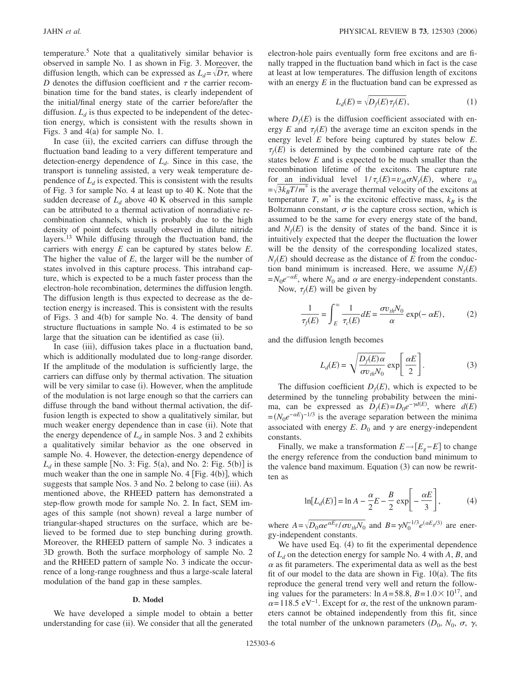temperature.5 Note that a qualitatively similar behavior is observed in sample No. 1 as shown in Fig. 3. Moreover, the diffusion length, which can be expressed as  $L_d = \sqrt{D\tau}$ , where *D* denotes the diffusion coefficient and  $\tau$  the carrier recombination time for the band states, is clearly independent of the initial/final energy state of the carrier before/after the diffusion.  $L_d$  is thus expected to be independent of the detection energy, which is consistent with the results shown in Figs. 3 and  $4(a)$  for sample No. 1.

In case (ii), the excited carriers can diffuse through the fluctuation band leading to a very different temperature and detection-energy dependence of  $L_d$ . Since in this case, the transport is tunneling assisted, a very weak temperature dependence of  $L_d$  is expected. This is consistent with the results of Fig. 3 for sample No. 4 at least up to 40 K. Note that the sudden decrease of  $L_d$  above 40 K observed in this sample can be attributed to a thermal activation of nonradiative recombination channels, which is probably due to the high density of point defects usually observed in dilute nitride layers.<sup>13</sup> While diffusing through the fluctuation band, the carriers with energy *E* can be captured by states below *E*. The higher the value of *E*, the larger will be the number of states involved in this capture process. This intraband capture, which is expected to be a much faster process than the electron-hole recombination, determines the diffusion length. The diffusion length is thus expected to decrease as the detection energy is increased. This is consistent with the results of Figs. 3 and 4(b) for sample No. 4. The density of band structure fluctuations in sample No. 4 is estimated to be so large that the situation can be identified as case (ii).

In case (iii), diffusion takes place in a fluctuation band, which is additionally modulated due to long-range disorder. If the amplitude of the modulation is sufficiently large, the carriers can diffuse only by thermal activation. The situation will be very similar to case (i). However, when the amplitude of the modulation is not large enough so that the carriers can diffuse through the band without thermal activation, the diffusion length is expected to show a qualitatively similar, but much weaker energy dependence than in case (ii). Note that the energy dependence of  $L_d$  in sample Nos. 3 and 2 exhibits a qualitatively similar behavior as the one observed in sample No. 4. However, the detection-energy dependence of  $L_d$  in these sample [No. 3: Fig. 5(a), and No. 2: Fig. 5(b)] is much weaker than the one in sample No. 4 [Fig. 4(b)], which suggests that sample Nos. 3 and No. 2 belong to case (iii). As mentioned above, the RHEED pattern has demonstrated a step-flow growth mode for sample No. 2. In fact, SEM images of this sample (not shown) reveal a large number of triangular-shaped structures on the surface, which are believed to be formed due to step bunching during growth. Moreover, the RHEED pattern of sample No. 3 indicates a 3D growth. Both the surface morphology of sample No. 2 and the RHEED pattern of sample No. 3 indicate the occurrence of a long-range roughness and thus a large-scale lateral modulation of the band gap in these samples.

### **D. Model**

We have developed a simple model to obtain a better understanding for case (ii). We consider that all the generated

electron-hole pairs eventually form free excitons and are finally trapped in the fluctuation band which in fact is the case at least at low temperatures. The diffusion length of excitons with an energy *E* in the fluctuation band can be expressed as

$$
L_d(E) = \sqrt{D_f(E)\,\tau_f(E)},\tag{1}
$$

where  $D_f(E)$  is the diffusion coefficient associated with energy  $E$  and  $\tau_f(E)$  the average time an exciton spends in the energy level *E* before being captured by states below *E*.  $\tau_f(E)$  is determined by the combined capture rate of the states below *E* and is expected to be much smaller than the recombination lifetime of the excitons. The capture rate for an individual level  $1/\tau_c(E) = v_{th} \sigma N_f(E)$ , where  $v_{th}$  $=\sqrt{3k_BT/m^*}$  is the average thermal velocity of the excitons at temperature *T*,  $m^*$  is the excitonic effective mass,  $k_B$  is the Boltzmann constant,  $\sigma$  is the capture cross section, which is assumed to be the same for every energy state of the band, and  $N_f(E)$  is the density of states of the band. Since it is intuitively expected that the deeper the fluctuation the lower will be the density of the corresponding localized states,  $N_f(E)$  should decrease as the distance of *E* from the conduction band minimum is increased. Here, we assume  $N_f(E)$  $=N_0e^{-\alpha E}$ , where  $N_0$  and  $\alpha$  are energy-independent constants.

Now,  $\tau_f(E)$  will be given by

$$
\frac{1}{\tau_f(E)} = \int_E^{\infty} \frac{1}{\tau_c(E)} dE = \frac{\sigma v_{th} N_0}{\alpha} \exp(-\alpha E), \quad (2)
$$

and the diffusion length becomes

$$
L_d(E) = \sqrt{\frac{D_f(E)\alpha}{\sigma v_{th} N_0}} \exp\left[\frac{\alpha E}{2}\right].
$$
 (3)

The diffusion coefficient  $D_f(E)$ , which is expected to be determined by the tunneling probability between the minima, can be expressed as  $D_f(E) = D_0 e^{-\gamma d(E)}$ , where  $d(E)$  $=(N_0e^{-\alpha E})^{-1/3}$  is the average separation between the minima associated with energy *E*.  $D_0$  and  $\gamma$  are energy-independent constants.

Finally, we make a transformation  $E \rightarrow [E_e - E]$  to change the energy reference from the conduction band minimum to the valence band maximum. Equation (3) can now be rewritten as

$$
\ln[L_d(E)] = \ln A - \frac{\alpha}{2}E - \frac{B}{2}\exp\left[-\frac{\alpha E}{3}\right],\tag{4}
$$

where  $A = \sqrt{D_0 \alpha e^{\alpha E_g} / \sigma v_{th} N_0}$  and  $B = \gamma N_0^{-1/3} e^{(\alpha E_g/3)}$  are energy-independent constants.

We have used Eq. (4) to fit the experimental dependence of *Ld* on the detection energy for sample No. 4 with *A*, *B*, and  $\alpha$  as fit parameters. The experimental data as well as the best fit of our model to the data are shown in Fig.  $10(a)$ . The fits reproduce the general trend very well and return the following values for the parameters:  $\ln A = 58.8$ ,  $B = 1.0 \times 10^{17}$ , and  $\alpha$ =118.5 eV<sup>-1</sup>. Except for  $\alpha$ , the rest of the unknown parameters cannot be obtained independently from this fit, since the total number of the unknown parameters  $(D_0, N_0, \sigma, \gamma,$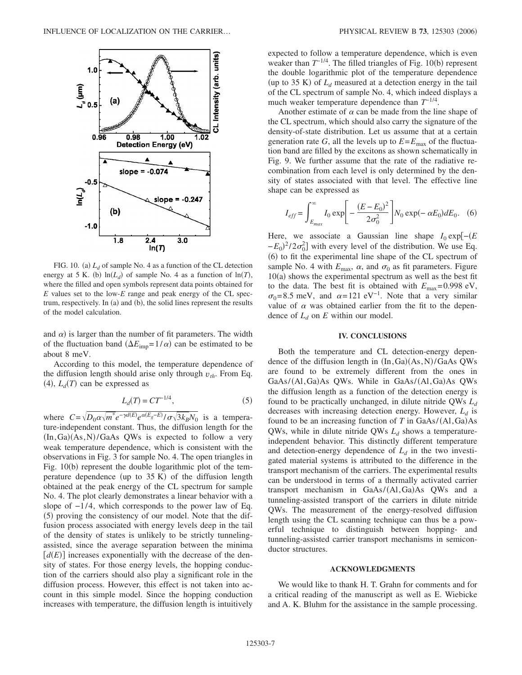

FIG. 10. (a)  $L_d$  of sample No. 4 as a function of the CL detection energy at 5 K. (b)  $ln(L_d)$  of sample No. 4 as a function of  $ln(T)$ , where the filled and open symbols represent data points obtained for *E* values set to the low-*E* range and peak energy of the CL spectrum, respectively. In (a) and (b), the solid lines represent the results of the model calculation.

and  $\alpha$ ) is larger than the number of fit parameters. The width of the fluctuation band  $(\Delta E_{\text{imp}} = 1/\alpha)$  can be estimated to be about 8 meV.

According to this model, the temperature dependence of the diffusion length should arise only through *vth*. From Eq.  $(4)$ ,  $L_d(T)$  can be expressed as

$$
L_d(T) = CT^{-1/4},\tag{5}
$$

where  $C = \sqrt{D_0 \alpha \sqrt{m^*} e^{-\gamma d(E)} e^{\alpha(E_g - E)} / \sigma \sqrt{3k_B} N_0}$  is a temperature-independent constant. Thus, the diffusion length for the  $(In, Ga)(As, N)/GaAs$  QWs is expected to follow a very weak temperature dependence, which is consistent with the observations in Fig. 3 for sample No. 4. The open triangles in Fig. 10(b) represent the double logarithmic plot of the temperature dependence (up to  $35 K$ ) of the diffusion length obtained at the peak energy of the CL spectrum for sample No. 4. The plot clearly demonstrates a linear behavior with a slope of  $-1/4$ , which corresponds to the power law of Eq. (5) proving the consistency of our model. Note that the diffusion process associated with energy levels deep in the tail of the density of states is unlikely to be strictly tunnelingassisted, since the average separation between the minima  $[d(E)]$  increases exponentially with the decrease of the density of states. For those energy levels, the hopping conduction of the carriers should also play a significant role in the diffusion process. However, this effect is not taken into account in this simple model. Since the hopping conduction increases with temperature, the diffusion length is intuitively expected to follow a temperature dependence, which is even weaker than  $T^{-1/4}$ . The filled triangles of Fig. 10(b) represent the double logarithmic plot of the temperature dependence (up to 35 K) of  $L_d$  measured at a detection energy in the tail of the CL spectrum of sample No. 4, which indeed displays a much weaker temperature dependence than *T*−1/4.

Another estimate of  $\alpha$  can be made from the line shape of the CL spectrum, which should also carry the signature of the density-of-state distribution. Let us assume that at a certain generation rate *G*, all the levels up to  $E = E_{\text{max}}$  of the fluctuation band are filled by the excitons as shown schematically in Fig. 9. We further assume that the rate of the radiative recombination from each level is only determined by the density of states associated with that level. The effective line shape can be expressed as

$$
I_{eff} = \int_{E_{max}}^{\infty} I_0 \exp\left[-\frac{(E - E_0)^2}{2\sigma_0^2}\right] N_0 \exp(-\alpha E_0) dE_0.
$$
 (6)

Here, we associate a Gaussian line shape  $I_0$  exp $[-(E_1, E_2)]$  $-E_0$ <sup>2</sup>/2 $\sigma_0$ <sup>2</sup> with every level of the distribution. We use Eq. (6) to fit the experimental line shape of the CL spectrum of sample No. 4 with  $E_{\text{max}}$ ,  $\alpha$ , and  $\sigma_0$  as fit parameters. Figure 10(a) shows the experimental spectrum as well as the best fit to the data. The best fit is obtained with  $E_{\text{max}} = 0.998 \text{ eV}$ ,  $\sigma_0$ =8.5 meV, and  $\alpha$ =121 eV<sup>-1</sup>. Note that a very similar value of  $\alpha$  was obtained earlier from the fit to the dependence of  $L_d$  on  $E$  within our model.

## **IV. CONCLUSIONS**

Both the temperature and CL detection-energy dependence of the diffusion length in  $(In,Ga)(As, N)/GaAs$  QWs are found to be extremely different from the ones in GaAs/(Al, Ga)As QWs. While in GaAs/(Al, Ga)As QWs the diffusion length as a function of the detection energy is found to be practically unchanged, in dilute nitride QWs *Ld* decreases with increasing detection energy. However,  $L_d$  is found to be an increasing function of  $T$  in  $GaAs/(Al, Ga)As$ QWs, while in dilute nitride QWs  $L_d$  shows a temperatureindependent behavior. This distinctly different temperature and detection-energy dependence of  $L_d$  in the two investigated material systems is attributed to the difference in the transport mechanism of the carriers. The experimental results can be understood in terms of a thermally activated carrier transport mechanism in  $GaAs/(Al,Ga)As$  QWs and a tunneling-assisted transport of the carriers in dilute nitride QWs. The measurement of the energy-resolved diffusion length using the CL scanning technique can thus be a powerful technique to distinguish between hopping- and tunneling-assisted carrier transport mechanisms in semiconductor structures.

### **ACKNOWLEDGMENTS**

We would like to thank H. T. Grahn for comments and for a critical reading of the manuscript as well as E. Wiebicke and A. K. Bluhm for the assistance in the sample processing.